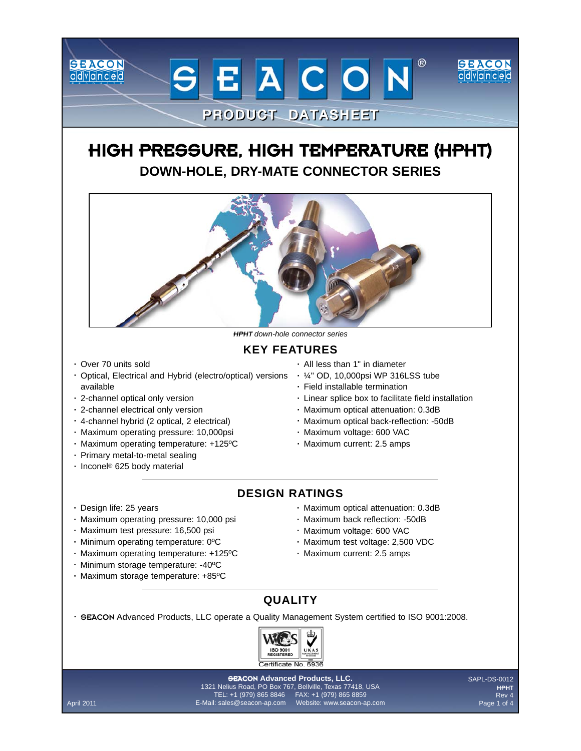## HIGH PRESSURE, HIGH TEMPERATURE (HPHT) **DOWN-HOLE, DRY-MATE CONNECTOR SERIES**

**PRODUCT DATASHEET** 

EACON



**HPHT** down-hole connector series

## **KEY FEATURES**

Over 70 units sold **·**

**SEACON** 

advanced

- Optical, Electrical and Hybrid (electro/optical) versions 1/4" OD, 10,000psi WP 316LSS tube available
- 2-channel optical only version **·**
- 2-channel electrical only version **·**
- 4-channel hybrid (2 optical, 2 electrical) **·**
- Maximum operating pressure: 10,000psi **·**
- Maximum operating temperature: +125ºC **·**
- Primary metal-to-metal sealing **·**
- Inconel® 625 body material **·**

Design life: 25 years **·**

- All less than 1" in diameter **·**
- 
- Field installable termination **·**
- Linear splice box to facilitate field installation **·**

 $^{\circledR}$ 

ISEACON

advanced

- Maximum optical attenuation: 0.3dB **·**
- Maximum optical back-reflection: -50dB **·**
- Maximum voltage: 600 VAC **·**
- Maximum current: 2.5 amps **·**
- **DESIGN RATINGS**
	- Maximum optical attenuation: 0.3dB **·**
	- Maximum back reflection: -50dB **·**
	- Maximum voltage: 600 VAC **·**
	- Maximum test voltage: 2,500 VDC **·**
	- Maximum current: 2.5 amps **·**
- Minimum operating temperature: 0ºC **·** Maximum operating temperature: +125ºC **·** Minimum storage temperature: -40ºC **·**
- Maximum storage temperature: +85ºC **·**

Maximum operating pressure: 10,000 psi **·** Maximum test pressure: 16,500 psi **·**

- **QUALITY**
- *GEACON Advanced Products, LLC operate a Quality Management System certified to ISO 9001:2008.*



#### **GEACON Advanced Products, LLC.**

1321 Nelius Road, PO Box 767, Bellville, Texas 77418, USA TEL: +1 (979) 865 8846 FAX: +1 (979) 865 8859 April 2011 E-Mail: sales@seacon-ap.com Website: www.seacon-ap.com SAPL-DS-0012 HPHT Rev 4 Page 1 of 4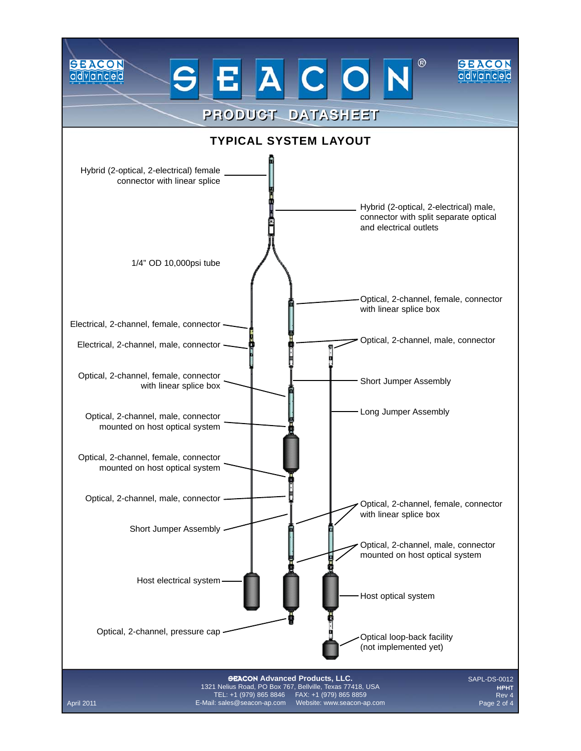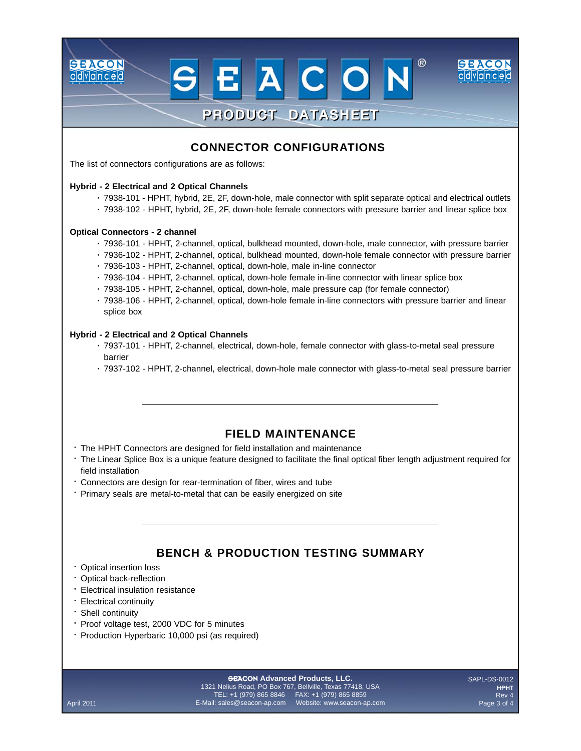## **CONNECTOR CONFIGURATIONS**

**PRODUCT DATASHEET** 

ACON

 $^{\circledR}$ 

ISEACON

ddvianced

The list of connectors configurations are as follows:

#### **Hybrid - 2 Electrical and 2 Optical Channels**

- 7938-101 HPHT, hybrid, 2E, 2F, down-hole, male connector with split separate optical and electrical outlets **·**
- 7938-102 HPHT, hybrid, 2E, 2F, down-hole female connectors with pressure barrier and linear splice box **·**

#### **Optical Connectors - 2 channel**

**SEACON** 

advanced

- 7936-101 HPHT, 2-channel, optical, bulkhead mounted, down-hole, male connector, with pressure barrier **·**
- 7936-102 HPHT, 2-channel, optical, bulkhead mounted, down-hole female connector with pressure barrier **·**
- 7936-103 HPHT, 2-channel, optical, down-hole, male in-line connector **·**
- 7936-104 HPHT, 2-channel, optical, down-hole female in-line connector with linear splice box **·**
- 7938-105 HPHT, 2-channel, optical, down-hole, male pressure cap (for female connector) **·**
- 7938-106 HPHT, 2-channel, optical, down-hole female in-line connectors with pressure barrier and linear **·** splice box

#### **Hybrid - 2 Electrical and 2 Optical Channels**

- 7937-101 HPHT, 2-channel, electrical, down-hole, female connector with glass-to-metal seal pressure **·** barrier
- 7937-102 HPHT, 2-channel, electrical, down-hole male connector with glass-to-metal seal pressure barrier **·**

#### **FIELD MAINTENANCE**

- The HPHT Connectors are designed for field installation and maintenance **·**
- The Linear Splice Box is a unique feature designed to facilitate the final optical fiber length adjustment required for **·** field installation
- Connectors are design for rear-termination of fiber, wires and tube **·**
- Primary seals are metal-to-metal that can be easily energized on site **·**

### **BENCH & PRODUCTION TESTING SUMMARY**

- Optical insertion loss **·**
- Optical back-reflection **·**
- Electrical insulation resistance **·**
- Electrical continuity **·**
- Shell continuity **·**
- Proof voltage test, 2000 VDC for 5 minutes **·**
- **Production Hyperbaric 10,000 psi (as required)**

#### **GEACON Advanced Products, LLC.**